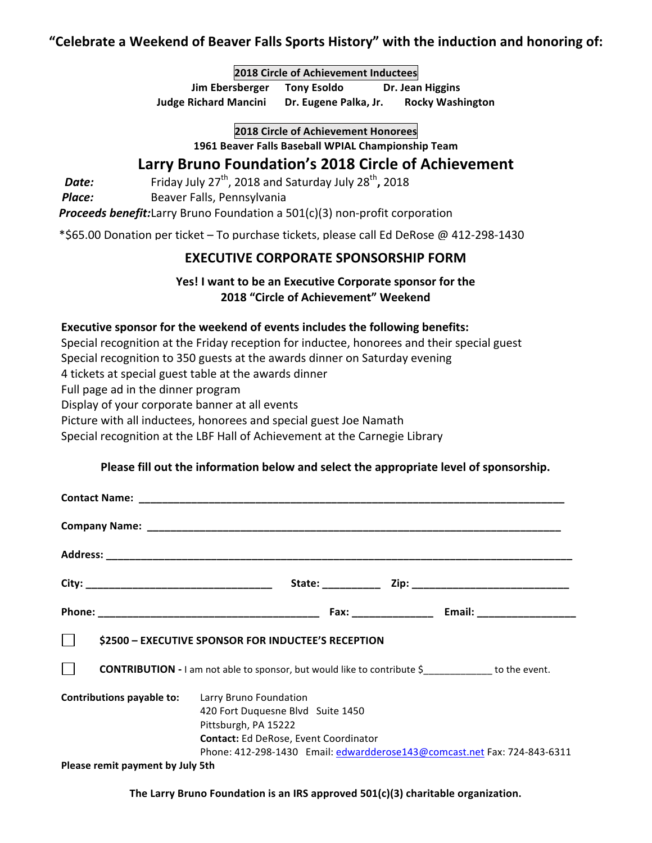# "Celebrate a Weekend of Beaver Falls Sports History" with the induction and honoring of:

**2018 Circle of Achievement Inductees**

**Jim Ebersberger** Tony Esoldo Dr. Jean Higgins **Judge Richard Mancini** Dr. Eugene Palka, Jr. Rocky Washington

**2018 Circle of Achievement Honorees**

1961 Beaver Falls Baseball WPIAL Championship Team

# **Larry Bruno Foundation's 2018 Circle of Achievement**

**Date:** Friday July 27<sup>th</sup>, 2018 and Saturday July 28<sup>th</sup>, 2018

**Place:** Beaver Falls, Pennsylvania

*Proceeds benefit:*Larry Bruno Foundation a 501(c)(3) non-profit corporation

 \*\$65.00 Donation per ticket – To purchase tickets, please call Ed DeRose @ 412-298-1430

### **EXECUTIVE CORPORATE SPONSORSHIP FORM**

### **Yes!** I want to be an Executive Corporate sponsor for the **2018 "Circle of Achievement" Weekend**

### **Executive sponsor for the weekend of events includes the following benefits:**

Special recognition at the Friday reception for inductee, honorees and their special guest Special recognition to 350 guests at the awards dinner on Saturday evening 4 tickets at special guest table at the awards dinner Full page ad in the dinner program Display of your corporate banner at all events

Picture with all inductees, honorees and special guest Joe Namath

Special recognition at the LBF Hall of Achievement at the Carnegie Library

### Please fill out the information below and select the appropriate level of sponsorship.

| \$2500 - EXECUTIVE SPONSOR FOR INDUCTEE'S RECEPTION                                       |                                                                                                           |  |  |                                                                          |
|-------------------------------------------------------------------------------------------|-----------------------------------------------------------------------------------------------------------|--|--|--------------------------------------------------------------------------|
| $\Box$<br><b>CONTRIBUTION - I</b> am not able to sponsor, but would like to contribute \$ |                                                                                                           |  |  |                                                                          |
| <b>Contributions payable to:</b> Larry Bruno Foundation                                   | 420 Fort Duquesne Blvd Suite 1450<br>Pittsburgh, PA 15222<br><b>Contact:</b> Ed DeRose, Event Coordinator |  |  | Phone: 412-298-1430 Email: edwardderose143@comcast.net Fax: 724-843-6311 |
| Please remit payment by July 5th                                                          |                                                                                                           |  |  |                                                                          |

The Larry Bruno Foundation is an IRS approved 501(c)(3) charitable organization.